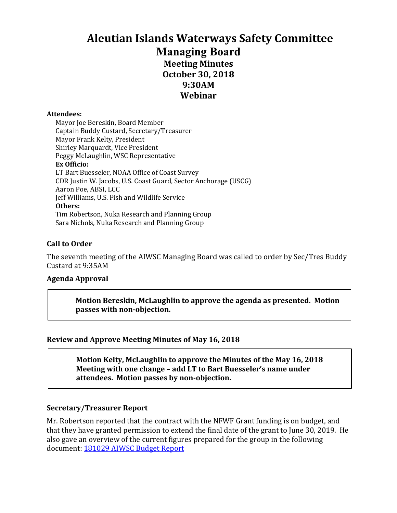# **Aleutian Islands Waterways Safety Committee Managing Board Meeting Minutes October 30, 2018 9:30AM Webinar**

#### **Attendees:**

Mayor Joe Bereskin, Board Member Captain Buddy Custard, Secretary/Treasurer Mayor Frank Kelty, President Shirley Marquardt, Vice President Peggy McLaughlin, WSC Representative **Ex Officio:** LT Bart Buesseler, NOAA Office of Coast Survey CDR Justin W. Jacobs, U.S. Coast Guard, Sector Anchorage (USCG) Aaron Poe, ABSI, LCC Jeff Williams, U.S. Fish and Wildlife Service **Others:** Tim Robertson, Nuka Research and Planning Group Sara Nichols, Nuka Research and Planning Group

### **Call to Order**

The seventh meeting of the AIWSC Managing Board was called to order by Sec/Tres Buddy Custard at 9:35AM

### **Agenda Approval**

**Motion Bereskin, McLaughlin to approve the agenda as presented. Motion passes with non-objection.**

### **Review and Approve Meeting Minutes of May 16, 2018**

Motion Kelty, McLaughlin to approve the Minutes of the May 16, 2018 **Meeting with one change – add LT to Bart Buesseler's name under attendees. Motion passes by non-objection.**

### **Secretary/Treasurer Report**

Mr. Robertson reported that the contract with the NFWF Grant funding is on budget, and that they have granted permission to extend the final date of the grant to June 30, 2019. He also gave an overview of the current figures prepared for the group in the following document: 181029 AIWSC Budget Report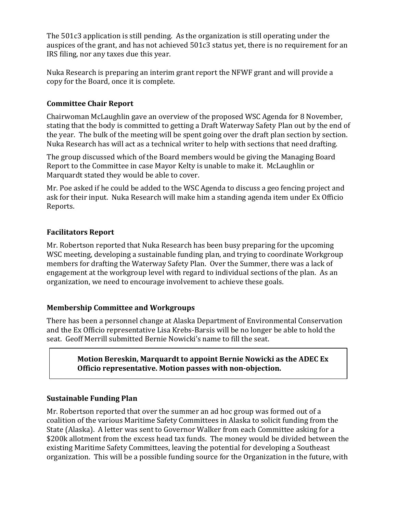The  $501c3$  application is still pending. As the organization is still operating under the auspices of the grant, and has not achieved  $501c3$  status yet, there is no requirement for an IRS filing, nor any taxes due this year.

Nuka Research is preparing an interim grant report the NFWF grant and will provide a copy for the Board, once it is complete.

# **Committee Chair Report**

Chairwoman McLaughlin gave an overview of the proposed WSC Agenda for 8 November, stating that the body is committed to getting a Draft Waterway Safety Plan out by the end of the year. The bulk of the meeting will be spent going over the draft plan section by section. Nuka Research has will act as a technical writer to help with sections that need drafting.

The group discussed which of the Board members would be giving the Managing Board Report to the Committee in case Mayor Kelty is unable to make it. McLaughlin or Marquardt stated they would be able to cover.

Mr. Poe asked if he could be added to the WSC Agenda to discuss a geo fencing project and ask for their input. Nuka Research will make him a standing agenda item under Ex Officio Reports.

# **Facilitators Report**

Mr. Robertson reported that Nuka Research has been busy preparing for the upcoming WSC meeting, developing a sustainable funding plan, and trying to coordinate Workgroup members for drafting the Waterway Safety Plan. Over the Summer, there was a lack of engagement at the workgroup level with regard to individual sections of the plan. As an organization, we need to encourage involvement to achieve these goals.

# **Membership Committee and Workgroups**

There has been a personnel change at Alaska Department of Environmental Conservation and the Ex Officio representative Lisa Krebs-Barsis will be no longer be able to hold the seat. Geoff Merrill submitted Bernie Nowicki's name to fill the seat.

### **Motion Bereskin, Marquardt to appoint Bernie Nowicki as the ADEC Ex Officio representative. Motion passes with non-objection.**

# **Sustainable Funding Plan**

Mr. Robertson reported that over the summer an ad hoc group was formed out of a coalition of the various Maritime Safety Committees in Alaska to solicit funding from the State (Alaska). A letter was sent to Governor Walker from each Committee asking for a \$200k allotment from the excess head tax funds. The money would be divided between the existing Maritime Safety Committees, leaving the potential for developing a Southeast organization. This will be a possible funding source for the Organization in the future, with